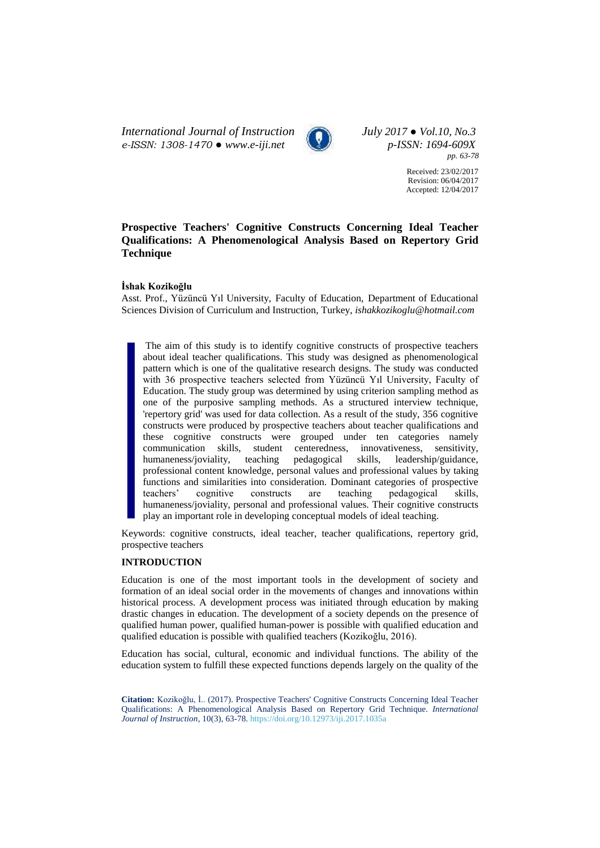*International Journal of Instruction July 2017 ● Vol.10, No.3 e-ISSN: 1308-1470 ● [www.e-iji.net](http://www.e-iji.net/) p-ISSN: 1694-609X*



*pp. 63-78*

Received: 23/02/2017 Revision: 06/04/2017 Accepted: 12/04/2017

# **Prospective Teachers' Cognitive Constructs Concerning Ideal Teacher Qualifications: A Phenomenological Analysis Based on Repertory Grid Technique**

# **İshak Kozikoğlu**

Asst. Prof., Yüzüncü Yıl University, Faculty of Education, Department of Educational Sciences Division of Curriculum and Instruction, Turkey, *ishakkozikoglu@hotmail.com*

The aim of this study is to identify cognitive constructs of prospective teachers about ideal teacher qualifications. This study was designed as phenomenological pattern which is one of the qualitative research designs. The study was conducted with 36 prospective teachers selected from Yüzüncü Yıl University, Faculty of Education. The study group was determined by using criterion sampling method as one of the purposive sampling methods. As a structured interview technique, 'repertory grid' was used for data collection. As a result of the study, 356 cognitive constructs were produced by prospective teachers about teacher qualifications and these cognitive constructs were grouped under ten categories namely communication skills, student centeredness, innovativeness, sensitivity, humaneness/joviality, teaching pedagogical skills, leadership/guidance, professional content knowledge, personal values and professional values by taking functions and similarities into consideration. Dominant categories of prospective teachers' cognitive constructs are teaching pedagogical skills, humaneness/joviality, personal and professional values. Their cognitive constructs play an important role in developing conceptual models of ideal teaching.

Keywords: cognitive constructs, ideal teacher, teacher qualifications, repertory grid, prospective teachers

### **INTRODUCTION**

Education is one of the most important tools in the development of society and formation of an ideal social order in the movements of changes and innovations within historical process. A development process was initiated through education by making drastic changes in education. The development of a society depends on the presence of qualified human power, qualified human-power is possible with qualified education and qualified education is possible with qualified teachers (Kozikoğlu, 2016).

Education has social, cultural, economic and individual functions. The ability of the education system to fulfill these expected functions depends largely on the quality of the

**Citation:** Kozikoğlu, İ.. (2017). Prospective Teachers' Cognitive Constructs Concerning Ideal Teacher Qualifications: A Phenomenological Analysis Based on Repertory Grid Technique. *International Journal of Instruction*, 10(3), 63-78. <https://doi.org/10.12973/iji.2017.1035a>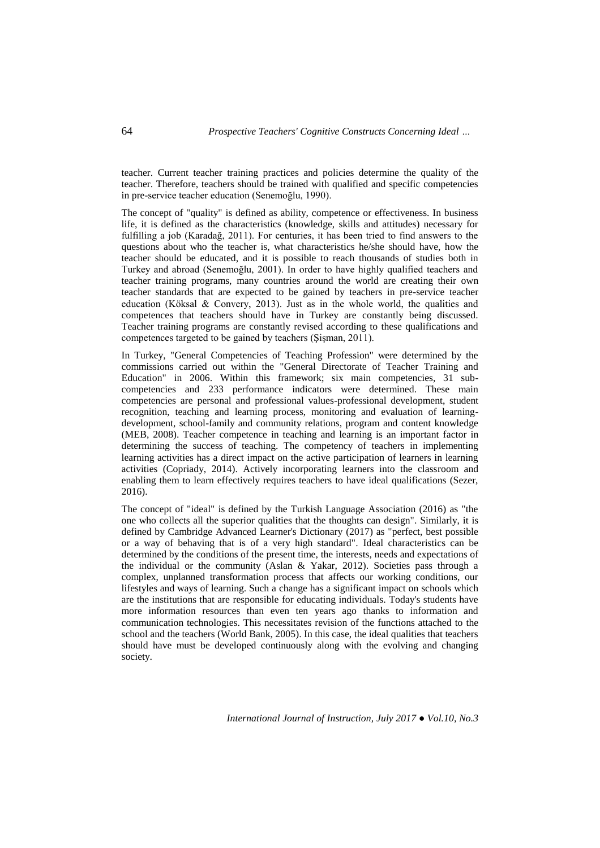teacher. Current teacher training practices and policies determine the quality of the teacher. Therefore, teachers should be trained with qualified and specific competencies in pre-service teacher education (Senemoğlu, 1990).

The concept of "quality" is defined as ability, competence or effectiveness. In business life, it is defined as the characteristics (knowledge, skills and attitudes) necessary for fulfilling a job (Karadağ, 2011). For centuries, it has been tried to find answers to the questions about who the teacher is, what characteristics he/she should have, how the teacher should be educated, and it is possible to reach thousands of studies both in Turkey and abroad (Senemoğlu, 2001). In order to have highly qualified teachers and teacher training programs, many countries around the world are creating their own teacher standards that are expected to be gained by teachers in pre-service teacher education (Köksal & Convery, 2013). Just as in the whole world, the qualities and competences that teachers should have in Turkey are constantly being discussed. Teacher training programs are constantly revised according to these qualifications and competences targeted to be gained by teachers (Şişman, 2011).

In Turkey, "General Competencies of Teaching Profession" were determined by the commissions carried out within the "General Directorate of Teacher Training and Education" in 2006. Within this framework; six main competencies, 31 subcompetencies and 233 performance indicators were determined. These main competencies are personal and professional values-professional development, student recognition, teaching and learning process, monitoring and evaluation of learningdevelopment, school-family and community relations, program and content knowledge (MEB, 2008). Teacher competence in teaching and learning is an important factor in determining the success of teaching. The competency of teachers in implementing learning activities has a direct impact on the active participation of learners in learning activities (Copriady, 2014). Actively incorporating learners into the classroom and enabling them to learn effectively requires teachers to have ideal qualifications (Sezer, 2016).

The concept of "ideal" is defined by the Turkish Language Association (2016) as "the one who collects all the superior qualities that the thoughts can design". Similarly, it is defined by Cambridge Advanced Learner's Dictionary (2017) as "perfect, best possible or a way of behaving that is of a very high standard". Ideal characteristics can be determined by the conditions of the present time, the interests, needs and expectations of the individual or the community (Aslan & Yakar, 2012). Societies pass through a complex, unplanned transformation process that affects our working conditions, our lifestyles and ways of learning. Such a change has a significant impact on schools which are the institutions that are responsible for educating individuals. Today's students have more information resources than even ten years ago thanks to information and communication technologies. This necessitates revision of the functions attached to the school and the teachers (World Bank, 2005). In this case, the ideal qualities that teachers should have must be developed continuously along with the evolving and changing society.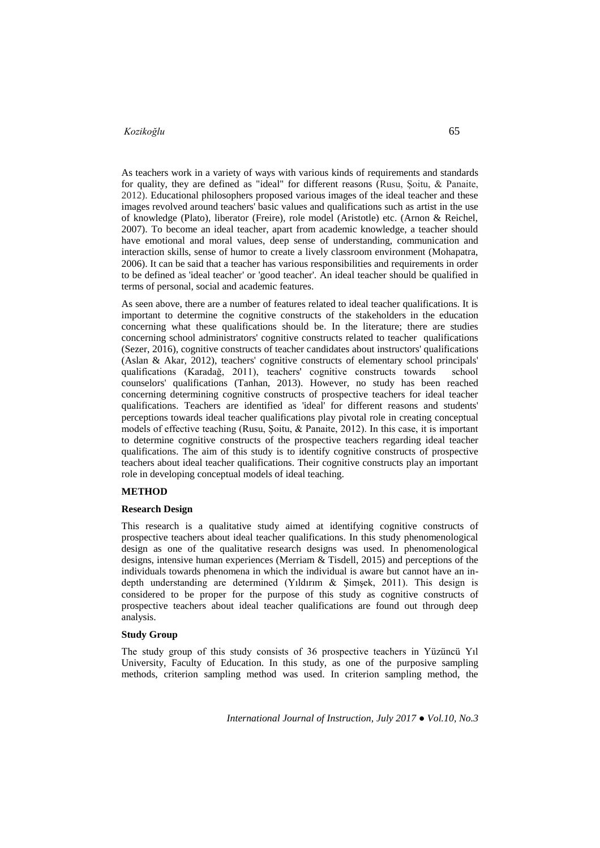As teachers work in a variety of ways with various kinds of requirements and standards for quality, they are defined as "ideal" for different reasons (Rusu, Şoitu, & Panaite, 2012). Educational philosophers proposed various images of the ideal teacher and these images revolved around teachers' basic values and qualifications such as artist in the use of knowledge (Plato), liberator (Freire), role model (Aristotle) etc. (Arnon & Reichel, 2007). To become an ideal teacher, apart from academic knowledge, a teacher should have emotional and moral values, deep sense of understanding, communication and interaction skills, sense of humor to create a lively classroom environment (Mohapatra, 2006). It can be said that a teacher has various responsibilities and requirements in order to be defined as 'ideal teacher' or 'good teacher'. An ideal teacher should be qualified in terms of personal, social and academic features.

As seen above, there are a number of features related to ideal teacher qualifications. It is important to determine the cognitive constructs of the stakeholders in the education concerning what these qualifications should be. In the literature; there are studies concerning school administrators' cognitive constructs related to teacher qualifications (Sezer, 2016), cognitive constructs of teacher candidates about instructors' qualifications (Aslan & Akar, 2012), teachers' cognitive constructs of elementary school principals' qualifications (Karadağ, 2011), teachers' cognitive constructs towards school counselors' qualifications (Tanhan, 2013). However, no study has been reached concerning determining cognitive constructs of prospective teachers for ideal teacher qualifications. Teachers are identified as 'ideal' for different reasons and students' perceptions towards ideal teacher qualifications play pivotal role in creating conceptual models of effective teaching (Rusu, Şoitu, & Panaite, 2012). In this case, it is important to determine cognitive constructs of the prospective teachers regarding ideal teacher qualifications. The aim of this study is to identify cognitive constructs of prospective teachers about ideal teacher qualifications. Their cognitive constructs play an important role in developing conceptual models of ideal teaching.

## **METHOD**

#### **Research Design**

This research is a qualitative study aimed at identifying cognitive constructs of prospective teachers about ideal teacher qualifications. In this study phenomenological design as one of the qualitative research designs was used. In phenomenological designs, intensive human experiences (Merriam & Tisdell, 2015) and perceptions of the individuals towards phenomena in which the individual is aware but cannot have an indepth understanding are determined (Yıldırım & Şimşek, 2011). This design is considered to be proper for the purpose of this study as cognitive constructs of prospective teachers about ideal teacher qualifications are found out through deep analysis.

# **Study Group**

The study group of this study consists of 36 prospective teachers in Yüzüncü Yıl University, Faculty of Education. In this study, as one of the purposive sampling methods, criterion sampling method was used. In criterion sampling method, the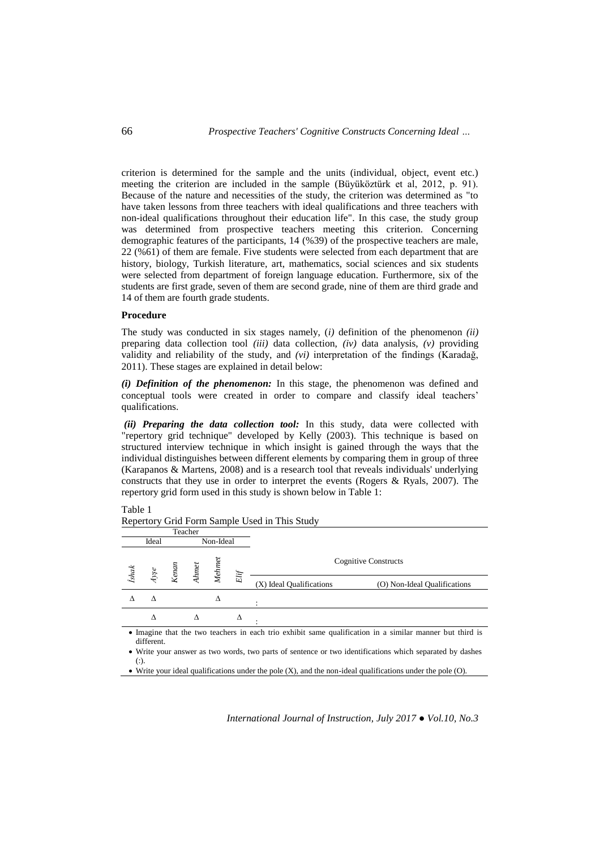criterion is determined for the sample and the units (individual, object, event etc.) meeting the criterion are included in the sample (Büyüköztürk et al, 2012, p. 91). Because of the nature and necessities of the study, the criterion was determined as "to have taken lessons from three teachers with ideal qualifications and three teachers with non-ideal qualifications throughout their education life". In this case, the study group was determined from prospective teachers meeting this criterion. Concerning demographic features of the participants, 14 (%39) of the prospective teachers are male, 22 (%61) of them are female. Five students were selected from each department that are history, biology, Turkish literature, art, mathematics, social sciences and six students were selected from department of foreign language education. Furthermore, six of the students are first grade, seven of them are second grade, nine of them are third grade and 14 of them are fourth grade students.

#### **Procedure**

The study was conducted in six stages namely, (*i)* definition of the phenomenon *(ii)*  preparing data collection tool *(iii)* data collection, *(iv)* data analysis, *(v)* providing validity and reliability of the study, and *(vi)* interpretation of the findings (Karadağ, 2011). These stages are explained in detail below:

*(i) Definition of the phenomenon:* In this stage, the phenomenon was defined and conceptual tools were created in order to compare and classify ideal teachers' qualifications.

*(ii) Preparing the data collection tool:* In this study, data were collected with "repertory grid technique" developed by Kelly (2003). This technique is based on structured interview technique in which insight is gained through the ways that the individual distinguishes between different elements by comparing them in group of three (Karapanos & Martens, 2008) and is a research tool that reveals individuals' underlying constructs that they use in order to interpret the events (Rogers  $\&$  Ryals, 2007). The repertory grid form used in this study is shown below in Table 1:

#### Table 1

|                    |         |       | Teacher |        |      |                             |                              |  |  |  |
|--------------------|---------|-------|---------|--------|------|-----------------------------|------------------------------|--|--|--|
| Non-Ideal<br>Ideal |         |       |         |        |      |                             |                              |  |  |  |
| <b>İshak</b>       | $4$ yse | Kenan | Ahnet   | Mehmet |      | <b>Cognitive Constructs</b> |                              |  |  |  |
|                    |         |       |         |        | Elif | (X) Ideal Qualifications    | (O) Non-Ideal Qualifications |  |  |  |
|                    | Λ       |       |         | Δ      |      |                             |                              |  |  |  |
|                    | Δ       |       |         |        | Δ    |                             |                              |  |  |  |

Repertory Grid Form Sample Used in This Study

 Imagine that the two teachers in each trio exhibit same qualification in a similar manner but third is different.

 Write your answer as two words, two parts of sentence or two identifications which separated by dashes (:).

Write your ideal qualifications under the pole (X), and the non-ideal qualifications under the pole (O).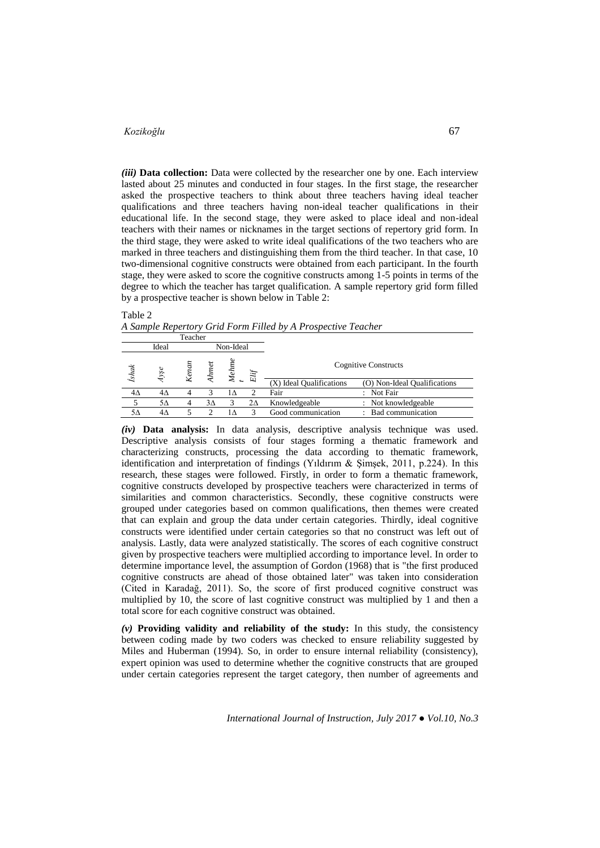*(iii)* **Data collection:** Data were collected by the researcher one by one. Each interview lasted about 25 minutes and conducted in four stages. In the first stage, the researcher asked the prospective teachers to think about three teachers having ideal teacher qualifications and three teachers having non-ideal teacher qualifications in their educational life. In the second stage, they were asked to place ideal and non-ideal teachers with their names or nicknames in the target sections of repertory grid form. In the third stage, they were asked to write ideal qualifications of the two teachers who are marked in three teachers and distinguishing them from the third teacher. In that case, 10 two-dimensional cognitive constructs were obtained from each participant. In the fourth stage, they were asked to score the cognitive constructs among 1-5 points in terms of the degree to which the teacher has target qualification. A sample repertory grid form filled by a prospective teacher is shown below in Table 2:



*A Sample Repertory Grid Form Filled by A Prospective Teacher*

|              |          | Teacher |      |                                          |           |                             |                              |  |  |  |
|--------------|----------|---------|------|------------------------------------------|-----------|-----------------------------|------------------------------|--|--|--|
|              | Ideal    |         |      | Non-Ideal                                |           |                             |                              |  |  |  |
| <b>İshak</b> | Ayşe     | Kenan   | hmet | $\begin{array}{c} Mehme\\ t \end{array}$ | Elif      | <b>Cognitive Constructs</b> |                              |  |  |  |
|              |          |         |      |                                          |           | (X) Ideal Qualifications    | (O) Non-Ideal Qualifications |  |  |  |
| 4Δ           | $4\land$ | 4       |      | 1 Л                                      |           | Fair                        | Not Fair                     |  |  |  |
|              | 5Δ       | 4       | 3Δ   |                                          | $2\Delta$ | Knowledgeable               | Not knowledgeable            |  |  |  |
|              | 4Λ       |         |      | lΛ                                       | 3         | Good communication          | Bad communication            |  |  |  |

*(iv)* **Data analysis:** In data analysis, descriptive analysis technique was used. Descriptive analysis consists of four stages forming a thematic framework and characterizing constructs, processing the data according to thematic framework, identification and interpretation of findings (Yıldırım  $\&$  Simsek, 2011, p.224). In this research, these stages were followed. Firstly, in order to form a thematic framework, cognitive constructs developed by prospective teachers were characterized in terms of similarities and common characteristics. Secondly, these cognitive constructs were grouped under categories based on common qualifications, then themes were created that can explain and group the data under certain categories. Thirdly, ideal cognitive constructs were identified under certain categories so that no construct was left out of analysis. Lastly, data were analyzed statistically. The scores of each cognitive construct given by prospective teachers were multiplied according to importance level. In order to determine importance level, the assumption of Gordon (1968) that is "the first produced cognitive constructs are ahead of those obtained later" was taken into consideration (Cited in Karadağ, 2011). So, the score of first produced cognitive construct was multiplied by 10, the score of last cognitive construct was multiplied by 1 and then a total score for each cognitive construct was obtained.

*(v)* **Providing validity and reliability of the study:** In this study, the consistency between coding made by two coders was checked to ensure reliability suggested by Miles and Huberman (1994). So, in order to ensure internal reliability (consistency), expert opinion was used to determine whether the cognitive constructs that are grouped under certain categories represent the target category, then number of agreements and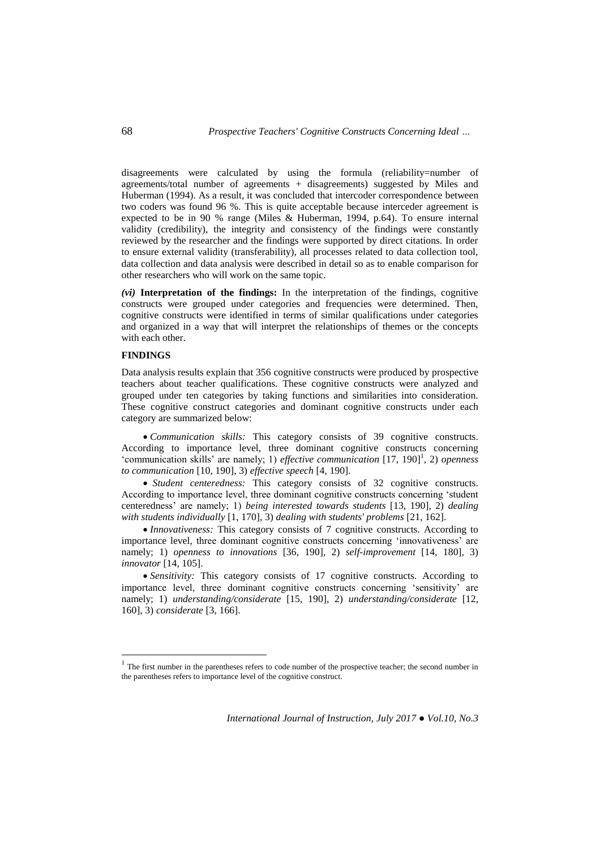disagreements were calculated by using the formula (reliability=number of agreements/total number of agreements + disagreements) suggested by Miles and Huberman (1994). As a result, it was concluded that intercoder correspondence between two coders was found 96 %. This is quite acceptable because interceder agreement is expected to be in 90 % range (Miles & Huberman, 1994, p.64). To ensure internal validity (credibility), the integrity and consistency of the findings were constantly reviewed by the researcher and the findings were supported by direct citations. In order to ensure external validity (transferability), all processes related to data collection tool, data collection and data analysis were described in detail so as to enable comparison for other researchers who will work on the same topic.

*(vi)* **Interpretation of the findings:** In the interpretation of the findings, cognitive constructs were grouped under categories and frequencies were determined. Then, cognitive constructs were identified in terms of similar qualifications under categories and organized in a way that will interpret the relationships of themes or the concepts with each other.

## **FINDINGS**

 $\overline{a}$ 

Data analysis results explain that 356 cognitive constructs were produced by prospective teachers about teacher qualifications. These cognitive constructs were analyzed and grouped under ten categories by taking functions and similarities into consideration. These cognitive construct categories and dominant cognitive constructs under each category are summarized below:

 *Communication skills:* This category consists of 39 cognitive constructs. According to importance level, three dominant cognitive constructs concerning 'communication skills' are namely; 1) *effective communication* [17, 190]<sup>1</sup>, 2) *openness to communication* [10, 190], 3) *effective speech* [4, 190].

 *Student centeredness:* This category consists of 32 cognitive constructs. According to importance level, three dominant cognitive constructs concerning 'student centeredness' are namely; 1) *being interested towards students* [13, 190], 2) *dealing with students individually* [1, 170], 3) *dealing with students' problems* [21, 162].

 *Innovativeness:* This category consists of 7 cognitive constructs. According to importance level, three dominant cognitive constructs concerning 'innovativeness' are namely; 1) *openness to innovations* [36, 190], 2) *self-improvement* [14, 180], 3) *innovator* [14, 105].

 *Sensitivity:* This category consists of 17 cognitive constructs. According to importance level, three dominant cognitive constructs concerning 'sensitivity' are namely; 1) *understanding/considerate* [15, 190], 2) *understanding/considerate* [12, 160], 3) *considerate* [3, 166].

 $<sup>1</sup>$  The first number in the parentheses refers to code number of the prospective teacher; the second number in</sup> the parentheses refers to importance level of the cognitive construct.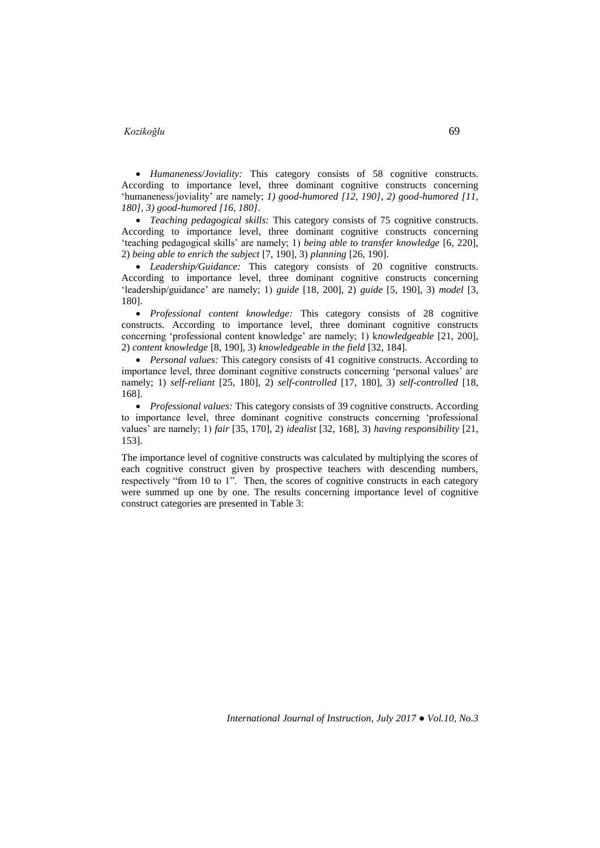*Humaneness/Joviality:* This category consists of 58 cognitive constructs. According to importance level, three dominant cognitive constructs concerning 'humaneness/joviality' are namely; *1) good-humored [12, 190], 2) good-humored [11, 180], 3) good-humored [16, 180].*

 *Teaching pedagogical skills:* This category consists of 75 cognitive constructs. According to importance level, three dominant cognitive constructs concerning 'teaching pedagogical skills' are namely; 1) *being able to transfer knowledge* [6, 220], 2) *being able to enrich the subject* [7, 190], 3) *planning* [26, 190].

 *Leadership/Guidance:* This category consists of 20 cognitive constructs. According to importance level, three dominant cognitive constructs concerning 'leadership/guidance' are namely; 1) *guide* [18, 200], 2) *guide* [5, 190], 3) *model* [3, 180].

 *Professional content knowledge:* This category consists of 28 cognitive constructs. According to importance level, three dominant cognitive constructs concerning 'professional content knowledge' are namely; 1) k*nowledgeable* [21, 200], 2) *content knowledge* [8, 190], 3) *knowledgeable in the field* [32, 184].

 *Personal values:* This category consists of 41 cognitive constructs. According to importance level, three dominant cognitive constructs concerning 'personal values' are namely; 1) *self-reliant* [25, 180], 2) *self-controlled* [17, 180], 3) *self-controlled* [18, 168].

 *Professional values:* This category consists of 39 cognitive constructs. According to importance level, three dominant cognitive constructs concerning 'professional values' are namely; 1) *fair* [35, 170], 2) *idealist* [32, 168], 3) *having responsibility* [21, 153].

The importance level of cognitive constructs was calculated by multiplying the scores of each cognitive construct given by prospective teachers with descending numbers, respectively "from 10 to 1". Then, the scores of cognitive constructs in each category were summed up one by one. The results concerning importance level of cognitive construct categories are presented in Table 3: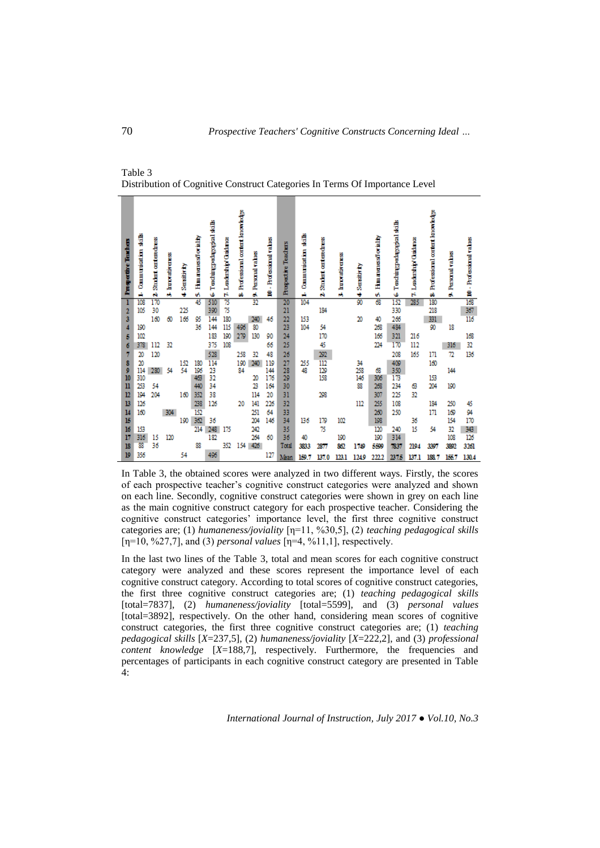|                      |                           |                          |                     |                  |                       |                               |                       |                                    |                    |                          |                             |                         |                          |                       |               |                     |                               |                          | Professional content lenowindge |                    |                          |
|----------------------|---------------------------|--------------------------|---------------------|------------------|-----------------------|-------------------------------|-----------------------|------------------------------------|--------------------|--------------------------|-----------------------------|-------------------------|--------------------------|-----------------------|---------------|---------------------|-------------------------------|--------------------------|---------------------------------|--------------------|--------------------------|
| Prospective Teachers | Communication skills<br>ă | Student outtendness<br>Ń | Importiveness<br>ŵ, | Sergitivity<br>÷ | Humanussforithy<br>Ŵ, | Tachingpolagogial skills<br>ø | 7. Leidership Guidmon | 8- Professional content lenowindge | 9. Personal values | 10 - Professional values | <b>Prospective Teachers</b> | 1- Communication skills | Student ontenedress<br>å | Incorativeness<br>eh, | 4 Sergitivity | 5 Humanassilovinity | Tachingpolagogial skills<br>ø | Leadership Guidance<br>Ŕ | øb.                             | 9. Personal values | 10 - Professional values |
|                      | 108                       | 170                      |                     |                  | 45                    | 510                           | 75                    |                                    | 32                 |                          | 20                          | 104                     |                          |                       | 90            | 68                  | 152                           | 285                      | 180                             |                    | $\overline{168}$         |
| $\overline{2}$       | 105                       | 30                       |                     | 225              |                       | 390                           | 75                    |                                    |                    |                          | 21                          |                         | 184                      |                       |               |                     | 330                           |                          | 218                             |                    | 367                      |
| 3                    |                           | 160                      | 60                  | 166              | 95                    | 144                           | 180                   |                                    | 240                | 46                       | 22                          | 153                     |                          |                       | 20            | 40                  | 266                           |                          | 331                             |                    | 116                      |
| 4                    | 190                       |                          |                     |                  | 36                    | 144                           | 115                   | 496                                | 80                 |                          | 23                          | 104                     | 54                       |                       |               | 268                 | 484                           |                          | 90                              | 18                 |                          |
| 5                    | 102                       |                          |                     |                  |                       | 183                           | 190                   | 279                                | 130                | 90                       | 24                          |                         | 170                      |                       |               | 166                 | 321                           | 216                      |                                 |                    | 168                      |
| 6                    | 378                       | 112                      | 32                  |                  |                       | 375                           | 108                   |                                    |                    | 66                       | 25                          |                         | 45                       |                       |               | 24                  | 170                           | 112                      |                                 | 316                | 32                       |
| 7                    | 20                        | 120                      |                     |                  |                       | 528                           |                       | 258                                | 32                 | 48                       | 26                          |                         | 292                      |                       |               |                     | 208                           | 165                      | 171                             | 72                 | 136                      |
| 8                    | 20                        |                          |                     | 152<br>54        | 180<br>196            | 114                           |                       | 190                                | 240                | 119                      | 27                          | 255<br>48               | 112                      |                       | 34<br>258     | 68                  | 409<br>350                    |                          | 160                             |                    |                          |
| 9<br>10              | 114<br>310                | 280                      | 54                  |                  | 463                   | 23<br>32                      |                       | 84                                 | 20                 | 144<br>176               | 28<br>29                    |                         | 129<br>158               |                       | 146           | 306                 | 173                           |                          | 153                             | 144                |                          |
| $_{\rm n}$           | 253                       | 54                       |                     |                  | 440                   | 34                            |                       |                                    | 23                 | 164                      | 30                          |                         |                          |                       | 88            | 268                 | 234                           | G                        | 204                             | 190                |                          |
| 12                   | 194                       | 204                      |                     | 160              | 352                   | 38                            |                       |                                    | 114                | 20                       | 31                          |                         | 298                      |                       |               | 307                 | 225                           | 32                       |                                 |                    |                          |
| 13                   | 126                       |                          |                     |                  | 238                   | 126                           |                       | 20                                 | 141                | 226                      | 32                          |                         |                          |                       | 112           | 255                 | 108                           |                          | 184                             | 250                | 45                       |
| 14                   | 160                       |                          | 304                 |                  | 152                   |                               |                       |                                    | 251                | 64                       | 33                          |                         |                          |                       |               | 260                 | 250                           |                          | 171                             | 169                | 94                       |
| 15                   |                           |                          |                     | 190              | 362                   | 36                            |                       |                                    | 204                | 146                      | 34                          | 136                     | 179                      | 102                   |               | 198                 |                               | 36                       |                                 | 154                | 170                      |
| 16                   | 153                       |                          |                     |                  | 214                   | 248                           | 175                   |                                    | 20                 |                          | 35                          |                         | 75                       |                       |               | 120                 | 240                           | 15                       | 54                              | 32                 | 343                      |
| 17                   | 316                       | 15                       | 120                 |                  |                       | 182                           |                       |                                    | 264                | 60                       | 36                          | 40                      |                          | 190                   |               | 190                 | 314                           |                          |                                 | 108                | 126                      |
| 18                   | 88                        | 36                       |                     |                  | 88                    |                               | 352                   | 154                                | 426                |                          | Total                       | 3833                    | 2877                     | 862                   | 1740          | 5500                | 7837                          | 2104                     | 3307                            | 3907               | 3261                     |
| 19                   | 356                       |                          |                     | 54               |                       | 496                           |                       |                                    |                    | 127                      | Mean                        | 159.7                   | 137.0                    | 123.1                 | 1249          | 222.2               | 237,5                         | 137.1                    | 1887                            | 1557               | 130.4                    |

Table 3 Distribution of Cognitive Construct Categories In Terms Of Importance Level

In Table 3, the obtained scores were analyzed in two different ways. Firstly, the scores of each prospective teacher's cognitive construct categories were analyzed and shown on each line. Secondly, cognitive construct categories were shown in grey on each line as the main cognitive construct category for each prospective teacher. Considering the cognitive construct categories' importance level, the first three cognitive construct categories are; (1) *humaneness/joviality* [η=11, %30,5], (2) *teaching pedagogical skills* [η=10, %27,7], and (3) *personal values* [η=4, %11,1], respectively.

In the last two lines of the Table 3, total and mean scores for each cognitive construct category were analyzed and these scores represent the importance level of each cognitive construct category. According to total scores of cognitive construct categories, the first three cognitive construct categories are; (1) *teaching pedagogical skills* [total=7837], (2) *humaneness/joviality* [total=5599], and (3) *personal values* [total=3892], respectively. On the other hand, considering mean scores of cognitive construct categories, the first three cognitive construct categories are; (1) *teaching pedagogical skills* [*X*=237,5], (2) *humaneness/joviality* [*X*=222,2], and (3) *professional content knowledge* [*X*=188,7], respectively. Furthermore, the frequencies and percentages of participants in each cognitive construct category are presented in Table 4: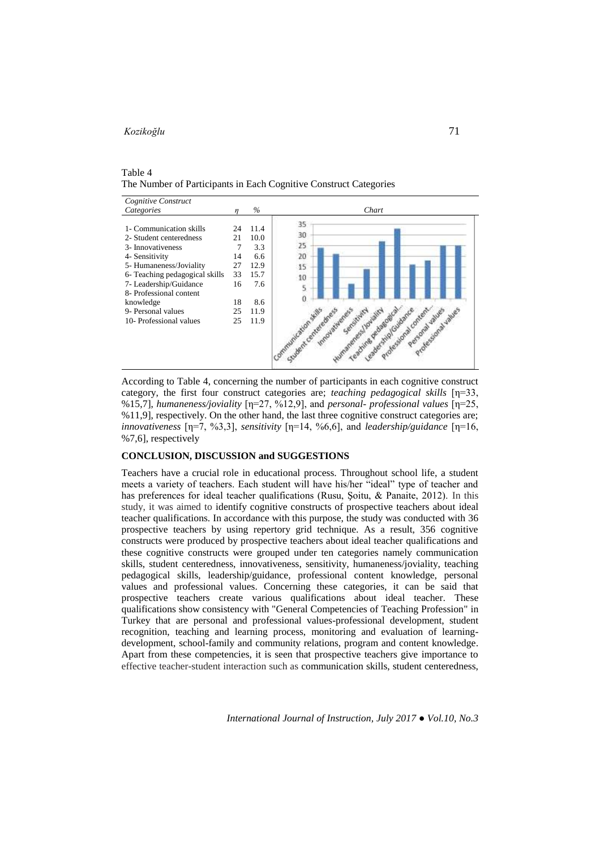Table 4 The Number of Participants in Each Cognitive Construct Categories



According to Table 4, concerning the number of participants in each cognitive construct category, the first four construct categories are; *teaching pedagogical skills* [η=33, %15,7], *humaneness/joviality* [η=27, %12,9], and *personal- professional values* [η=25, %11,9], respectively. On the other hand, the last three cognitive construct categories are; *innovativeness* [η=7, %3,3], *sensitivity* [η=14, %6,6], and *leadership/guidance* [η=16, %7,6], respectively

### **CONCLUSION, DISCUSSION and SUGGESTIONS**

Teachers have a crucial role in educational process. Throughout school life, a student meets a variety of teachers. Each student will have his/her "ideal" type of teacher and has preferences for ideal teacher qualifications (Rusu, Şoitu, & Panaite, 2012). In this study, it was aimed to identify cognitive constructs of prospective teachers about ideal teacher qualifications. In accordance with this purpose, the study was conducted with 36 prospective teachers by using repertory grid technique. As a result, 356 cognitive constructs were produced by prospective teachers about ideal teacher qualifications and these cognitive constructs were grouped under ten categories namely communication skills, student centeredness, innovativeness, sensitivity, humaneness/joviality, teaching pedagogical skills, leadership/guidance, professional content knowledge, personal values and professional values. Concerning these categories, it can be said that prospective teachers create various qualifications about ideal teacher. These qualifications show consistency with "General Competencies of Teaching Profession" in Turkey that are personal and professional values-professional development, student recognition, teaching and learning process, monitoring and evaluation of learningdevelopment, school-family and community relations, program and content knowledge. Apart from these competencies, it is seen that prospective teachers give importance to effective teacher-student interaction such as communication skills, student centeredness,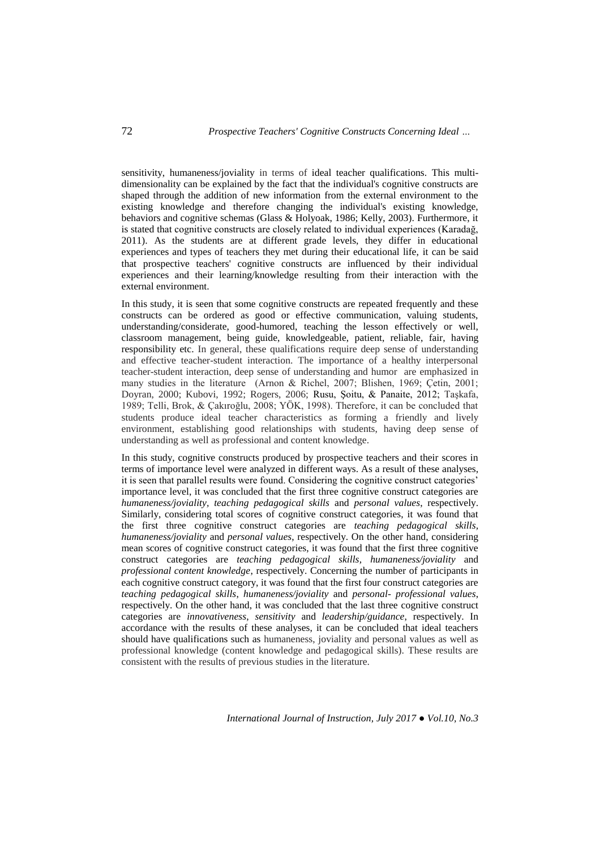sensitivity, humaneness/joviality in terms of ideal teacher qualifications. This multidimensionality can be explained by the fact that the individual's cognitive constructs are shaped through the addition of new information from the external environment to the existing knowledge and therefore changing the individual's existing knowledge, behaviors and cognitive schemas (Glass & Holyoak, 1986; Kelly, 2003). Furthermore, it is stated that cognitive constructs are closely related to individual experiences (Karadağ, 2011). As the students are at different grade levels, they differ in educational experiences and types of teachers they met during their educational life, it can be said that prospective teachers' cognitive constructs are influenced by their individual experiences and their learning/knowledge resulting from their interaction with the external environment.

In this study, it is seen that some cognitive constructs are repeated frequently and these constructs can be ordered as good or effective communication, valuing students, understanding/considerate, good-humored, teaching the lesson effectively or well, classroom management, being guide, knowledgeable, patient, reliable, fair, having responsibility etc. In general, these qualifications require deep sense of understanding and effective teacher-student interaction. The importance of a healthy interpersonal teacher-student interaction, deep sense of understanding and humor are emphasized in many studies in the literature (Arnon & Richel, 2007; Blishen, 1969; Çetin, 2001; Doyran, 2000; Kubovi, 1992; Rogers, 2006; Rusu, Şoitu, & Panaite, 2012; Taşkafa, 1989; Telli, Brok, & Çakıroğlu, 2008; YÖK, 1998). Therefore, it can be concluded that students produce ideal teacher characteristics as forming a friendly and lively environment, establishing good relationships with students, having deep sense of understanding as well as professional and content knowledge.

In this study, cognitive constructs produced by prospective teachers and their scores in terms of importance level were analyzed in different ways. As a result of these analyses, it is seen that parallel results were found. Considering the cognitive construct categories' importance level, it was concluded that the first three cognitive construct categories are *humaneness/joviality, teaching pedagogical skills* and *personal values*, respectively. Similarly, considering total scores of cognitive construct categories, it was found that the first three cognitive construct categories are *teaching pedagogical skills, humaneness/joviality* and *personal values*, respectively. On the other hand, considering mean scores of cognitive construct categories, it was found that the first three cognitive construct categories are *teaching pedagogical skills, humaneness/joviality* and *professional content knowledge*, respectively. Concerning the number of participants in each cognitive construct category, it was found that the first four construct categories are *teaching pedagogical skills*, *humaneness/joviality* and *personal- professional values*, respectively. On the other hand, it was concluded that the last three cognitive construct categories are *innovativeness*, *sensitivity* and *leadership/guidance*, respectively. In accordance with the results of these analyses, it can be concluded that ideal teachers should have qualifications such as humaneness, joviality and personal values as well as professional knowledge (content knowledge and pedagogical skills). These results are consistent with the results of previous studies in the literature.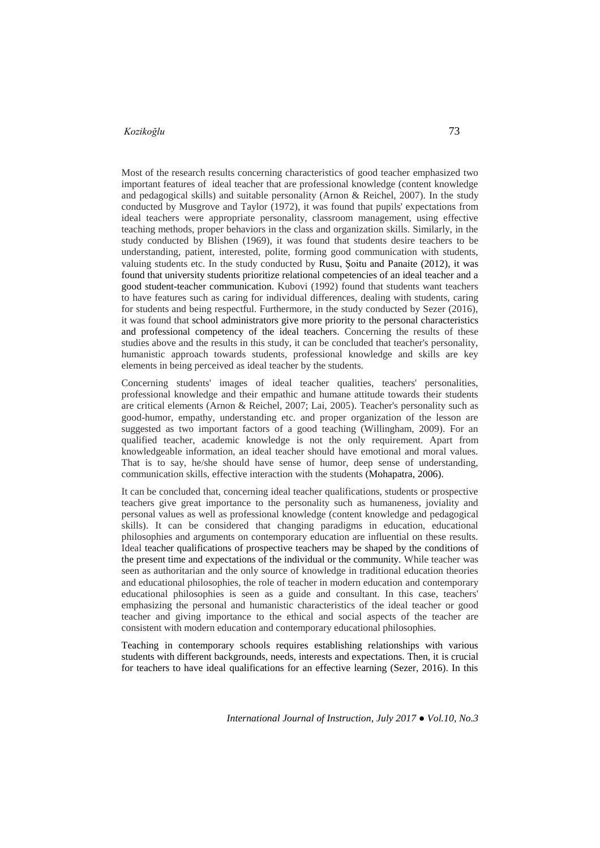Most of the research results concerning characteristics of good teacher emphasized two important features of ideal teacher that are professional knowledge (content knowledge and pedagogical skills) and suitable personality (Arnon & Reichel, 2007). In the study conducted by Musgrove and Taylor (1972), it was found that pupils' expectations from ideal teachers were appropriate personality, classroom management, using effective teaching methods, proper behaviors in the class and organization skills. Similarly, in the study conducted by Blishen (1969), it was found that students desire teachers to be understanding, patient, interested, polite, forming good communication with students, valuing students etc. In the study conducted by Rusu, Şoitu and Panaite (2012), it was found that university students prioritize relational competencies of an ideal teacher and a good student-teacher communication. Kubovi (1992) found that students want teachers to have features such as caring for individual differences, dealing with students, caring for students and being respectful. Furthermore, in the study conducted by Sezer (2016), it was found that school administrators give more priority to the personal characteristics and professional competency of the ideal teachers. Concerning the results of these studies above and the results in this study, it can be concluded that teacher's personality, humanistic approach towards students, professional knowledge and skills are key elements in being perceived as ideal teacher by the students.

Concerning students' images of ideal teacher qualities, teachers' personalities, professional knowledge and their empathic and humane attitude towards their students are critical elements (Arnon & Reichel, 2007; Lai, 2005). Teacher's personality such as good-humor, empathy, understanding etc. and proper organization of the lesson are suggested as two important factors of a good teaching (Willingham, 2009). For an qualified teacher, academic knowledge is not the only requirement. Apart from knowledgeable information, an ideal teacher should have emotional and moral values. That is to say, he/she should have sense of humor, deep sense of understanding, communication skills, effective interaction with the students (Mohapatra, 2006).

It can be concluded that, concerning ideal teacher qualifications, students or prospective teachers give great importance to the personality such as humaneness, joviality and personal values as well as professional knowledge (content knowledge and pedagogical skills). It can be considered that changing paradigms in education, educational philosophies and arguments on contemporary education are influential on these results. Ideal teacher qualifications of prospective teachers may be shaped by the conditions of the present time and expectations of the individual or the community. While teacher was seen as authoritarian and the only source of knowledge in traditional education theories and educational philosophies, the role of teacher in modern education and contemporary educational philosophies is seen as a guide and consultant. In this case, teachers' emphasizing the personal and humanistic characteristics of the ideal teacher or good teacher and giving importance to the ethical and social aspects of the teacher are consistent with modern education and contemporary educational philosophies.

Teaching in contemporary schools requires establishing relationships with various students with different backgrounds, needs, interests and expectations. Then, it is crucial for teachers to have ideal qualifications for an effective learning (Sezer, 2016). In this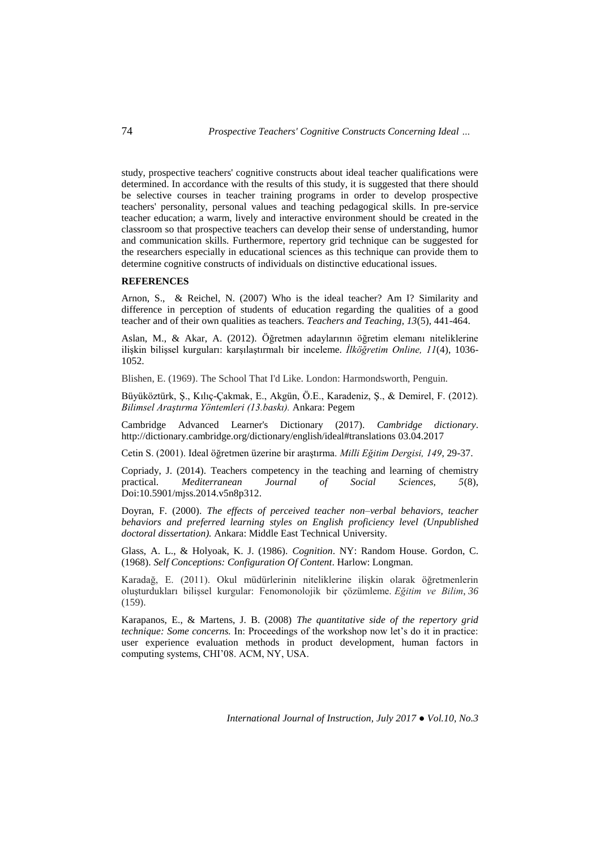study, prospective teachers' cognitive constructs about ideal teacher qualifications were determined. In accordance with the results of this study, it is suggested that there should be selective courses in teacher training programs in order to develop prospective teachers' personality, personal values and teaching pedagogical skills. In pre-service teacher education; a warm, lively and interactive environment should be created in the classroom so that prospective teachers can develop their sense of understanding, humor and communication skills. Furthermore, repertory grid technique can be suggested for the researchers especially in educational sciences as this technique can provide them to determine cognitive constructs of individuals on distinctive educational issues.

# **REFERENCES**

Arnon, S., & Reichel, N. (2007) Who is the ideal teacher? Am I? Similarity and difference in perception of students of education regarding the qualities of a good teacher and of their own qualities as teachers. *Teachers and Teaching, 13*(5), 441-464.

Aslan, M., & Akar, A. (2012). Öğretmen adaylarının öğretim elemanı niteliklerine ilişkin bilişsel kurguları: karşılaştırmalı bir inceleme. *İlköğretim Online, 11*(4), 1036- 1052.

Blishen, E. (1969). The School That I'd Like. London: Harmondsworth, Penguin.

Büyüköztürk, Ş., Kılıç-Çakmak, E., Akgün, Ö.E., Karadeniz, Ş., & Demirel, F. (2012). *Bilimsel Araştırma Yöntemleri (13.baskı).* Ankara: Pegem

Cambridge Advanced Learner's Dictionary (2017). *Cambridge dictionary*. http://dictionary.cambridge.org/dictionary/english/ideal#translations 03.04.2017

Cetin S. (2001). Ideal öğretmen üzerine bir araştırma. *Milli Eğitim Dergisi, 149*, 29-37.

Copriady, J. (2014). Teachers competency in the teaching and learning of chemistry practical. *Mediterranean Journal of Social Sciences, 5*(8), Doi:10.5901/mjss.2014.v5n8p312.

Doyran, F. (2000). *The effects of perceived teacher non–verbal behaviors, teacher behaviors and preferred learning styles on English proficiency level (Unpublished doctoral dissertation).* Ankara: Middle East Technical University.

Glass, A. L., & Holyoak, K. J. (1986). *Cognition*. NY: Random House. Gordon, C. (1968). *Self Conceptions: Configuration Of Content*. Harlow: Longman.

Karadağ, E. (2011). Okul müdürlerinin niteliklerine ilişkin olarak öğretmenlerin oluşturdukları bilişsel kurgular: Fenomonolojik bir çözümleme. *Eğitim ve Bilim*, *36* (159).

Karapanos, E., & Martens, J. B. (2008) *The quantitative side of the repertory grid technique: Some concerns.* In: Proceedings of the workshop now let's do it in practice: user experience evaluation methods in product development, human factors in computing systems, CHI'08. ACM, NY, USA.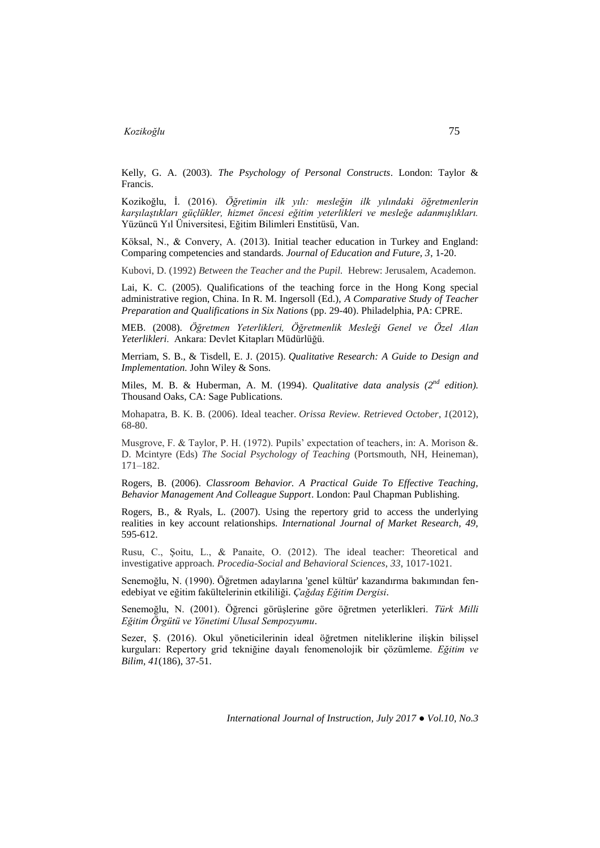Kelly, G. A. (2003). *The Psychology of Personal Constructs*. London: Taylor & Francis.

Kozikoğlu, İ. (2016). *Öğretimin ilk yılı: mesleğin ilk yılındaki öğretmenlerin karşılaştıkları güçlükler, hizmet öncesi eğitim yeterlikleri ve mesleğe adanmışlıkları.*  Yüzüncü Yıl Üniversitesi, Eğitim Bilimleri Enstitüsü, Van.

Köksal, N., & Convery, A. (2013). Initial teacher education in Turkey and England: Comparing competencies and standards. *Journal of Education and Future, 3*, 1-20.

Kubovi, D. (1992) *Between the Teacher and the Pupil.* Hebrew: Jerusalem, Academon.

Lai, K. C. (2005). Qualifications of the teaching force in the Hong Kong special administrative region, China. In R. M. Ingersoll (Ed.), *A Comparative Study of Teacher Preparation and Qualifications in Six Nations* (pp. 29-40). Philadelphia, PA: CPRE.

MEB. (2008). *Öğretmen Yeterlikleri, Öğretmenlik Mesleği Genel ve Özel Alan Yeterlikleri*. Ankara: Devlet Kitapları Müdürlüğü.

Merriam, S. B., & Tisdell, E. J. (2015). *Qualitative Research: A Guide to Design and Implementation.* John Wiley & Sons.

Miles, M. B. & Huberman, A. M. (1994). *Qualitative data analysis (2nd edition).* Thousand Oaks, CA: Sage Publications.

Mohapatra, B. K. B. (2006). Ideal teacher. *Orissa Review. Retrieved October*, *1*(2012), 68-80.

Musgrove, F. & Taylor, P. H. (1972). Pupils' expectation of teachers, in: A. Morison &. D. Mcintyre (Eds) *The Social Psychology of Teaching* (Portsmouth, NH, Heineman), 171–182.

Rogers, B. (2006). *Classroom Behavior. A Practical Guide To Effective Teaching, Behavior Management And Colleague Support*. London: Paul Chapman Publishing.

Rogers, B., & Ryals, L. (2007). Using the repertory grid to access the underlying realities in key account relationships. *International Journal of Market Research, 49,* 595-612.

Rusu, C., Şoitu, L., & Panaite, O. (2012). The ideal teacher: Theoretical and investigative approach. *Procedia-Social and Behavioral Sciences*, *33*, 1017-1021.

Senemoğlu, N. (1990). [Öğretmen adaylarına 'genel kültür' kazandırma bakımından fen](http://yunus.hacettepe.edu.tr/~n.senem/makaleler/genel_kultur.htm)[edebiyat ve eğitim fakültelerinin etkililiği.](http://yunus.hacettepe.edu.tr/~n.senem/makaleler/genel_kultur.htm) *Çağdaş Eğitim Dergisi*.

Senemoğlu, N. (2001). Öğrenci görüşlerine göre öğretmen yeterlikleri. *Türk Milli Eğitim Örgütü ve Yönetimi Ulusal Sempozyumu*.

Sezer, Ş. (2016). Okul yöneticilerinin ideal öğretmen niteliklerine ilişkin bilişsel kurguları: Repertory grid tekniğine dayalı fenomenolojik bir çözümleme. *Eğitim ve Bilim, 41*(186), 37-51.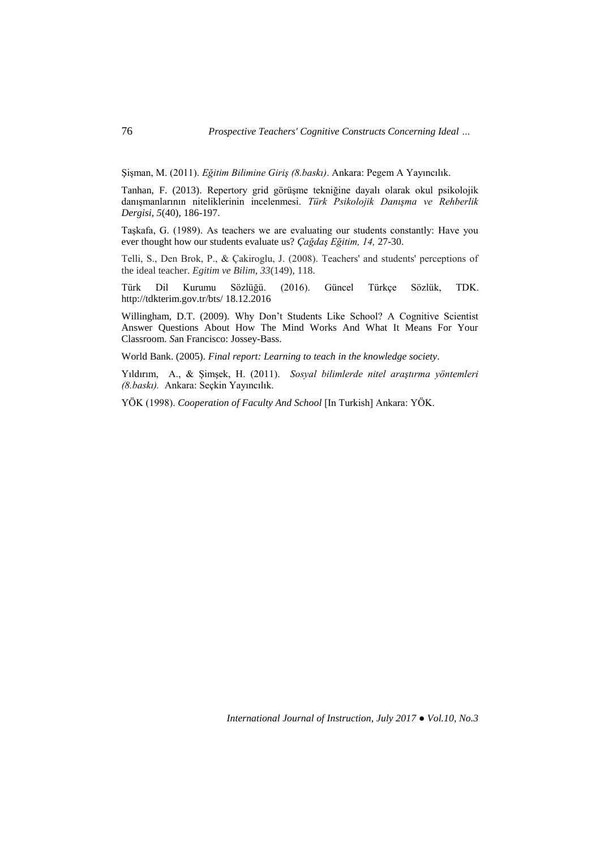Şişman, M. (2011). *Eğitim Bilimine Giriş (8.baskı)*. Ankara: Pegem A Yayıncılık.

Tanhan, F. (2013). Repertory grid görüşme tekniğine dayalı olarak okul psikolojik danışmanlarının niteliklerinin incelenmesi. *Türk Psikolojik Danışma ve Rehberlik Dergisi, 5*(40), 186-197.

Taşkafa, G. (1989). As teachers we are evaluating our students constantly: Have you ever thought how our students evaluate us? *Çağdaş Eğitim, 14,* 27-30.

Telli, S., Den Brok, P., & Çakiroglu, J. (2008). Teachers' and students' perceptions of the ideal teacher. *Egitim ve Bilim*, *33*(149), 118.

Türk Dil Kurumu Sözlüğü. (2016). Güncel Türkçe Sözlük, TDK. http://tdkterim.gov.tr/bts/ 18.12.2016

Willingham, D.T. (2009). Why Don't Students Like School? A Cognitive Scientist Answer Questions About How The Mind Works And What It Means For Your Classroom. *S*an Francisco: Jossey-Bass.

World Bank. (2005). *Final report: Learning to teach in the knowledge society*.

Yıldırım, A., & Şimşek, H. (2011). *Sosyal bilimlerde nitel araştırma yöntemleri (8.baskı).* Ankara: Seçkin Yayıncılık.

YÖK (1998). *Cooperation of Faculty And School* [In Turkish] Ankara: YÖK.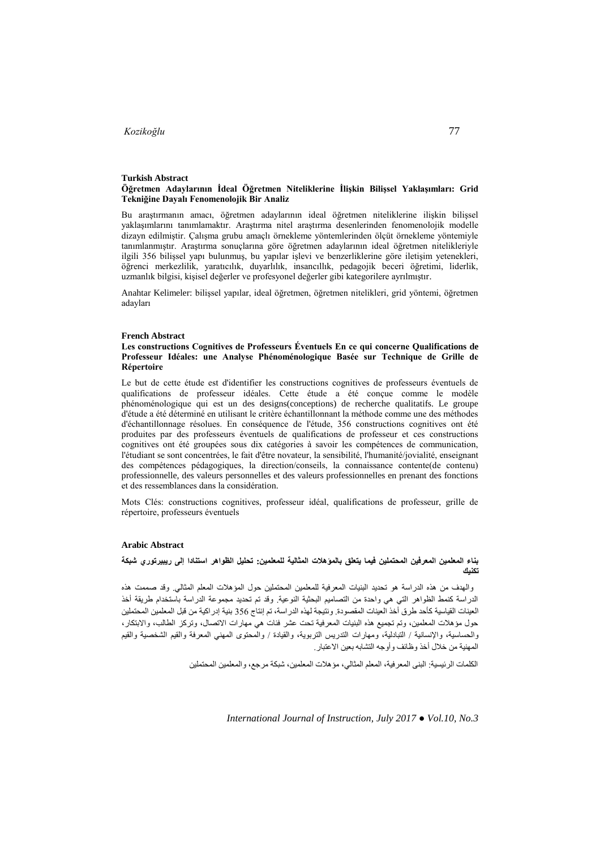#### **Turkish Abstract**

#### **Öğretmen Adaylarının İdeal Öğretmen Niteliklerine İlişkin Bilişsel Yaklaşımları: Grid Tekniğine Dayalı Fenomenolojik Bir Analiz**

Bu araştırmanın amacı, öğretmen adaylarının ideal öğretmen niteliklerine ilişkin bilişsel yaklaşımlarını tanımlamaktır. Araştırma nitel araştırma desenlerinden fenomenolojik modelle dizayn edilmiştir. Çalışma grubu amaçlı örnekleme yöntemlerinden ölçüt örnekleme yöntemiyle tanımlanmıştır. Araştırma sonuçlarına göre öğretmen adaylarının ideal öğretmen nitelikleriyle ilgili 356 bilişsel yapı bulunmuş, bu yapılar işlevi ve benzerliklerine göre iletişim yetenekleri, öğrenci merkezlilik, yaratıcılık, duyarlılık, insancıllık, pedagojik beceri öğretimi, liderlik, uzmanlık bilgisi, kişisel değerler ve profesyonel değerler gibi kategorilere ayrılmıştır.

Anahtar Kelimeler: bilişsel yapılar, ideal öğretmen, öğretmen nitelikleri, grid yöntemi, öğretmen adayları

#### **French Abstract**

#### **Les constructions Cognitives de Professeurs Éventuels En ce qui concerne Qualifications de Professeur Idéales: une Analyse Phénoménologique Basée sur Technique de Grille de Répertoire**

Le but de cette étude est d'identifier les constructions cognitives de professeurs éventuels de qualifications de professeur idéales. Cette étude a été conçue comme le modèle phénoménologique qui est un des designs(conceptions) de recherche qualitatifs. Le groupe d'étude a été déterminé en utilisant le critère échantillonnant la méthode comme une des méthodes d'échantillonnage résolues. En conséquence de l'étude, 356 constructions cognitives ont été produites par des professeurs éventuels de qualifications de professeur et ces constructions cognitives ont été groupées sous dix catégories à savoir les compétences de communication, l'étudiant se sont concentrées, le fait d'être novateur, la sensibilité, l'humanité/jovialité, enseignant des compétences pédagogiques, la direction/conseils, la connaissance contente(de contenu) professionnelle, des valeurs personnelles et des valeurs professionnelles en prenant des fonctions et des ressemblances dans la considération.

Mots Clés: constructions cognitives, professeur idéal, qualifications de professeur, grille de répertoire, professeurs éventuels

### **Arabic Abstract**

#### **بناء المعلمين المعرفين المحتملين فيما يتعلق بالمؤهالت المثالية للمعلمين: تحليل الظواهر استنادا إلى ريبيرتوري شبكة تكنيك**

والهدف من هذه الدراسة هو تحديد البنيات المعرفية للمعلمين المحتملين حول المؤهالت المعلم المثالي. وقد صممت هذه الدراسة كنمط الظواهر التي هي واحدة من التصاميم البحثية النوعية. وقد تم تحديد مجموعة الدراسة باستخدام طريقة أخذ العينات القياسية كأحد طرق أخذ العينات المقصودة. ونتيجة لهذه الدراسة، تم إنتاج 653 بنية إدراكية من قبل المعلمين المحتملين حول مؤهالت المعلمين، وتم تجميع هذه البنيات المعرفية تحت عشر فئات هي مهارات االتصال، وتركز الطالب، واالبتكار، والحساسية، واإلنسانية / التبادلية، ومهارات التدريس التربوية، والقيادة / والمحتوى المهني المعرفة والقيم الشخصية والقيم المهنية من خالل أخذ وظائف وأوجه التشابه بعين االعتبار.

الكلمات الرئيسية: البنى المعرفية، المعلم المثالي، مؤهالت المعلمين، شبكة مرجع، والمعلمين المحتملين